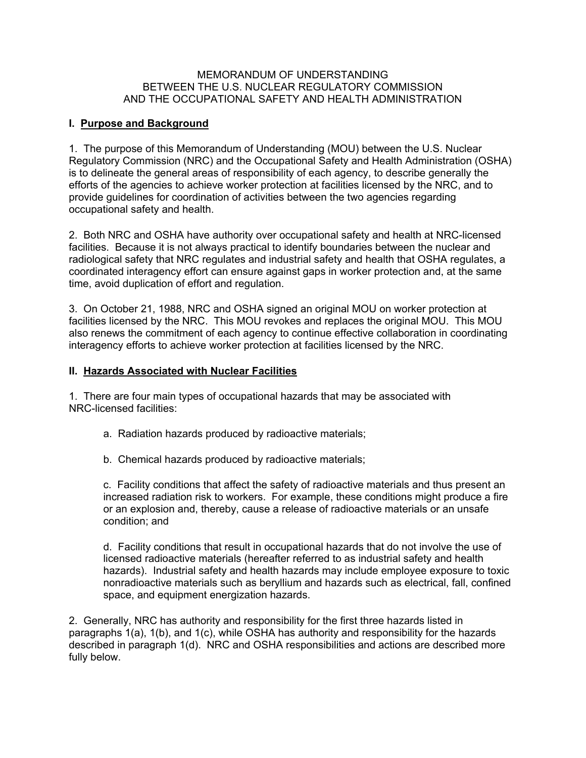#### MEMORANDUM OF UNDERSTANDING BETWEEN THE U.S. NUCLEAR REGULATORY COMMISSION AND THE OCCUPATIONAL SAFETY AND HEALTH ADMINISTRATION

## **I. Purpose and Background**

1. The purpose of this Memorandum of Understanding (MOU) between the U.S. Nuclear Regulatory Commission (NRC) and the Occupational Safety and Health Administration (OSHA) is to delineate the general areas of responsibility of each agency, to describe generally the efforts of the agencies to achieve worker protection at facilities licensed by the NRC, and to provide guidelines for coordination of activities between the two agencies regarding occupational safety and health.

2. Both NRC and OSHA have authority over occupational safety and health at NRC-licensed facilities. Because it is not always practical to identify boundaries between the nuclear and radiological safety that NRC regulates and industrial safety and health that OSHA regulates, a coordinated interagency effort can ensure against gaps in worker protection and, at the same time, avoid duplication of effort and regulation.

3. On October 21, 1988, NRC and OSHA signed an original MOU on worker protection at facilities licensed by the NRC. This MOU revokes and replaces the original MOU. This MOU also renews the commitment of each agency to continue effective collaboration in coordinating interagency efforts to achieve worker protection at facilities licensed by the NRC.

#### **II. Hazards Associated with Nuclear Facilities**

1. There are four main types of occupational hazards that may be associated with NRC-licensed facilities:

- a. Radiation hazards produced by radioactive materials;
- b. Chemical hazards produced by radioactive materials;

 c. Facility conditions that affect the safety of radioactive materials and thus present an increased radiation risk to workers. For example, these conditions might produce a fire or an explosion and, thereby, cause a release of radioactive materials or an unsafe condition; and

 d. Facility conditions that result in occupational hazards that do not involve the use of licensed radioactive materials (hereafter referred to as industrial safety and health hazards). Industrial safety and health hazards may include employee exposure to toxic nonradioactive materials such as beryllium and hazards such as electrical, fall, confined space, and equipment energization hazards.

2. Generally, NRC has authority and responsibility for the first three hazards listed in paragraphs 1(a), 1(b), and 1(c), while OSHA has authority and responsibility for the hazards described in paragraph 1(d). NRC and OSHA responsibilities and actions are described more fully below.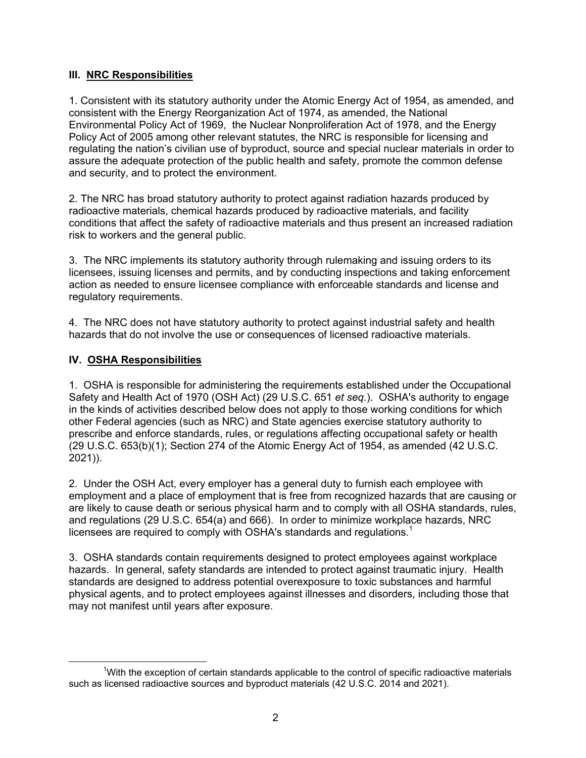# **III. NRC Responsibilities**

1. Consistent with its statutory authority under the Atomic Energy Act of 1954, as amended, and consistent with the Energy Reorganization Act of 1974, as amended, the National Environmental Policy Act of 1969, the Nuclear Nonproliferation Act of 1978, and the Energy Policy Act of 2005 among other relevant statutes, the NRC is responsible for licensing and regulating the nation's civilian use of byproduct, source and special nuclear materials in order to assure the adequate protection of the public health and safety, promote the common defense and security, and to protect the environment.

2. The NRC has broad statutory authority to protect against radiation hazards produced by radioactive materials, chemical hazards produced by radioactive materials, and facility conditions that affect the safety of radioactive materials and thus present an increased radiation risk to workers and the general public.

3. The NRC implements its statutory authority through rulemaking and issuing orders to its licensees, issuing licenses and permits, and by conducting inspections and taking enforcement action as needed to ensure licensee compliance with enforceable standards and license and regulatory requirements.

4. The NRC does not have statutory authority to protect against industrial safety and health hazards that do not involve the use or consequences of licensed radioactive materials.

## **IV. OSHA Responsibilities**

1. OSHA is responsible for administering the requirements established under the Occupational Safety and Health Act of 1970 (OSH Act) (29 U.S.C. 651 *et seq*.). OSHA's authority to engage in the kinds of activities described below does not apply to those working conditions for which other Federal agencies (such as NRC) and State agencies exercise statutory authority to prescribe and enforce standards, rules, or regulations affecting occupational safety or health (29 U.S.C. 653(b)(1); Section 274 of the Atomic Energy Act of 1954, as amended (42 U.S.C. 2021)).

2. Under the OSH Act, every employer has a general duty to furnish each employee with employment and a place of employment that is free from recognized hazards that are causing or are likely to cause death or serious physical harm and to comply with all OSHA standards, rules, and regulations (29 U.S.C. 654(a) and 666). In order to minimize workplace hazards, NRC licensees are required to comply with OSHA's standards and regulations.<sup>1</sup>

3. OSHA standards contain requirements designed to protect employees against workplace hazards. In general, safety standards are intended to protect against traumatic injury. Health standards are designed to address potential overexposure to toxic substances and harmful physical agents, and to protect employees against illnesses and disorders, including those that may not manifest until years after exposure.

 $\overline{\phantom{a}}$  1 <sup>1</sup>With the exception of certain standards applicable to the control of specific radioactive materials such as licensed radioactive sources and byproduct materials (42 U.S.C. 2014 and 2021).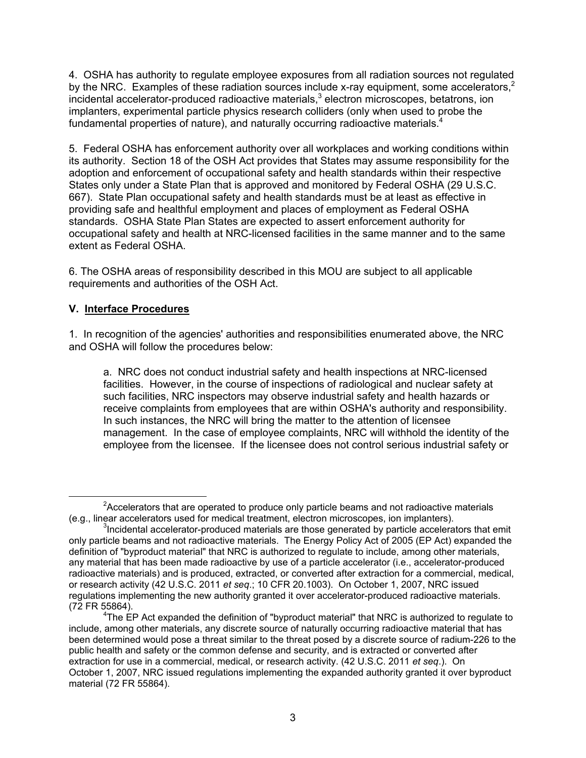4. OSHA has authority to regulate employee exposures from all radiation sources not regulated by the NRC. Examples of these radiation sources include x-ray equipment, some accelerators,<sup>2</sup> incidental accelerator-produced radioactive materials, $3$  electron microscopes, betatrons, ion implanters, experimental particle physics research colliders (only when used to probe the fundamental properties of nature), and naturally occurring radioactive materials.<sup>4</sup>

5. Federal OSHA has enforcement authority over all workplaces and working conditions within its authority. Section 18 of the OSH Act provides that States may assume responsibility for the adoption and enforcement of occupational safety and health standards within their respective States only under a State Plan that is approved and monitored by Federal OSHA (29 U.S.C. 667). State Plan occupational safety and health standards must be at least as effective in providing safe and healthful employment and places of employment as Federal OSHA standards. OSHA State Plan States are expected to assert enforcement authority for occupational safety and health at NRC-licensed facilities in the same manner and to the same extent as Federal OSHA.

6. The OSHA areas of responsibility described in this MOU are subject to all applicable requirements and authorities of the OSH Act.

# **V. Interface Procedures**

1. In recognition of the agencies' authorities and responsibilities enumerated above, the NRC and OSHA will follow the procedures below:

a. NRC does not conduct industrial safety and health inspections at NRC-licensed facilities. However, in the course of inspections of radiological and nuclear safety at such facilities, NRC inspectors may observe industrial safety and health hazards or receive complaints from employees that are within OSHA's authority and responsibility. In such instances, the NRC will bring the matter to the attention of licensee management. In the case of employee complaints, NRC will withhold the identity of the employee from the licensee. If the licensee does not control serious industrial safety or

 $\overline{\phantom{a}}$  2 <sup>2</sup> Accelerators that are operated to produce only particle beams and not radioactive materials (e.g., linear accelerators used for medical treatment, electron microscopes, ion implanters). <sup>3</sup>

<sup>&</sup>lt;sup>3</sup>Incidental accelerator-produced materials are those generated by particle accelerators that emit only particle beams and not radioactive materials. The Energy Policy Act of 2005 (EP Act) expanded the definition of "byproduct material" that NRC is authorized to regulate to include, among other materials, any material that has been made radioactive by use of a particle accelerator (i.e., accelerator-produced radioactive materials) and is produced, extracted, or converted after extraction for a commercial, medical, or research activity (42 U.S.C. 2011 *et seq*.; 10 CFR 20.1003). On October 1, 2007, NRC issued regulations implementing the new authority granted it over accelerator-produced radioactive materials. (72 FR 55864). <sup>4</sup>

The EP Act expanded the definition of "byproduct material" that NRC is authorized to regulate to include, among other materials, any discrete source of naturally occurring radioactive material that has been determined would pose a threat similar to the threat posed by a discrete source of radium-226 to the public health and safety or the common defense and security, and is extracted or converted after extraction for use in a commercial, medical, or research activity. (42 U.S.C. 2011 *et seq*.). On October 1, 2007, NRC issued regulations implementing the expanded authority granted it over byproduct material (72 FR 55864).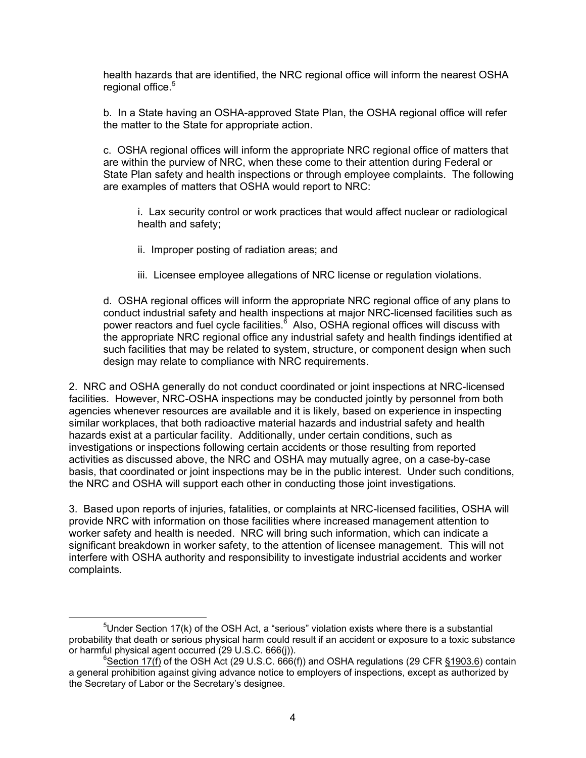health hazards that are identified, the NRC regional office will inform the nearest OSHA regional office.<sup>5</sup>

b. In a State having an OSHA-approved State Plan, the OSHA regional office will refer the matter to the State for appropriate action.

c. OSHA regional offices will inform the appropriate NRC regional office of matters that are within the purview of NRC, when these come to their attention during Federal or State Plan safety and health inspections or through employee complaints. The following are examples of matters that OSHA would report to NRC:

 i. Lax security control or work practices that would affect nuclear or radiological health and safety;

- ii. Improper posting of radiation areas; and
- iii. Licensee employee allegations of NRC license or regulation violations.

d. OSHA regional offices will inform the appropriate NRC regional office of any plans to conduct industrial safety and health inspections at major NRC-licensed facilities such as power reactors and fuel cycle facilities.<sup>6</sup> Also, OSHA regional offices will discuss with the appropriate NRC regional office any industrial safety and health findings identified at such facilities that may be related to system, structure, or component design when such design may relate to compliance with NRC requirements.

2. NRC and OSHA generally do not conduct coordinated or joint inspections at NRC-licensed facilities. However, NRC-OSHA inspections may be conducted jointly by personnel from both agencies whenever resources are available and it is likely, based on experience in inspecting similar workplaces, that both radioactive material hazards and industrial safety and health hazards exist at a particular facility. Additionally, under certain conditions, such as investigations or inspections following certain accidents or those resulting from reported activities as discussed above, the NRC and OSHA may mutually agree, on a case-by-case basis, that coordinated or joint inspections may be in the public interest. Under such conditions, the NRC and OSHA will support each other in conducting those joint investigations.

3. Based upon reports of injuries, fatalities, or complaints at NRC-licensed facilities, OSHA will provide NRC with information on those facilities where increased management attention to worker safety and health is needed. NRC will bring such information, which can indicate a significant breakdown in worker safety, to the attention of licensee management. This will not interfere with OSHA authority and responsibility to investigate industrial accidents and worker complaints.

<sup>5</sup>  $5$ Under Section 17(k) of the OSH Act, a "serious" violation exists where there is a substantial probability that death or serious physical harm could result if an accident or exposure to a toxic substance or harmful physical agent occurred (29 U.S.C. 666(j)).

 ${}^{6}$ Section 17(f) of the OSH Act (29 U.S.C. 666(f)) and OSHA regulations (29 CFR §1903.6) contain a general prohibition against giving advance notice to employers of inspections, except as authorized by the Secretary of Labor or the Secretary's designee.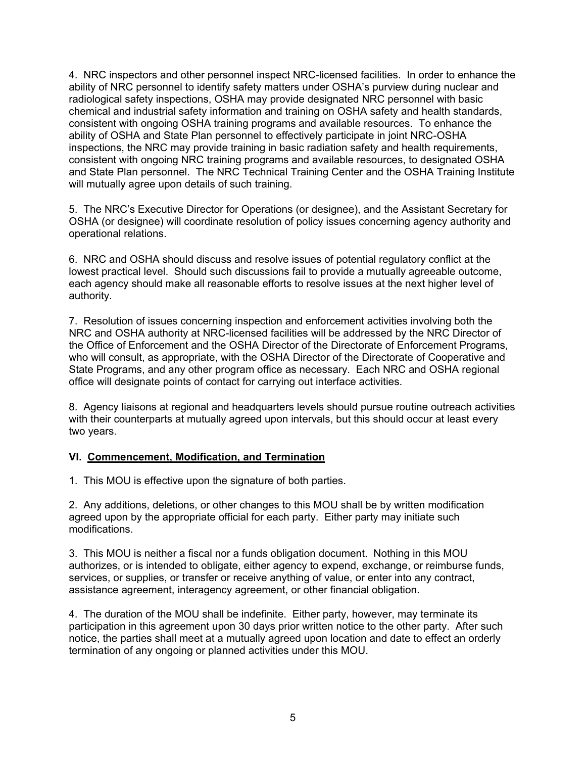4. NRC inspectors and other personnel inspect NRC-licensed facilities. In order to enhance the ability of NRC personnel to identify safety matters under OSHA's purview during nuclear and radiological safety inspections, OSHA may provide designated NRC personnel with basic chemical and industrial safety information and training on OSHA safety and health standards, consistent with ongoing OSHA training programs and available resources. To enhance the ability of OSHA and State Plan personnel to effectively participate in joint NRC-OSHA inspections, the NRC may provide training in basic radiation safety and health requirements, consistent with ongoing NRC training programs and available resources, to designated OSHA and State Plan personnel. The NRC Technical Training Center and the OSHA Training Institute will mutually agree upon details of such training.

5. The NRC's Executive Director for Operations (or designee), and the Assistant Secretary for OSHA (or designee) will coordinate resolution of policy issues concerning agency authority and operational relations.

6. NRC and OSHA should discuss and resolve issues of potential regulatory conflict at the lowest practical level. Should such discussions fail to provide a mutually agreeable outcome, each agency should make all reasonable efforts to resolve issues at the next higher level of authority.

7. Resolution of issues concerning inspection and enforcement activities involving both the NRC and OSHA authority at NRC-licensed facilities will be addressed by the NRC Director of the Office of Enforcement and the OSHA Director of the Directorate of Enforcement Programs, who will consult, as appropriate, with the OSHA Director of the Directorate of Cooperative and State Programs, and any other program office as necessary. Each NRC and OSHA regional office will designate points of contact for carrying out interface activities.

8. Agency liaisons at regional and headquarters levels should pursue routine outreach activities with their counterparts at mutually agreed upon intervals, but this should occur at least every two years.

### **VI. Commencement, Modification, and Termination**

1. This MOU is effective upon the signature of both parties.

2. Any additions, deletions, or other changes to this MOU shall be by written modification agreed upon by the appropriate official for each party. Either party may initiate such modifications.

3. This MOU is neither a fiscal nor a funds obligation document. Nothing in this MOU authorizes, or is intended to obligate, either agency to expend, exchange, or reimburse funds, services, or supplies, or transfer or receive anything of value, or enter into any contract, assistance agreement, interagency agreement, or other financial obligation.

4. The duration of the MOU shall be indefinite. Either party, however, may terminate its participation in this agreement upon 30 days prior written notice to the other party. After such notice, the parties shall meet at a mutually agreed upon location and date to effect an orderly termination of any ongoing or planned activities under this MOU.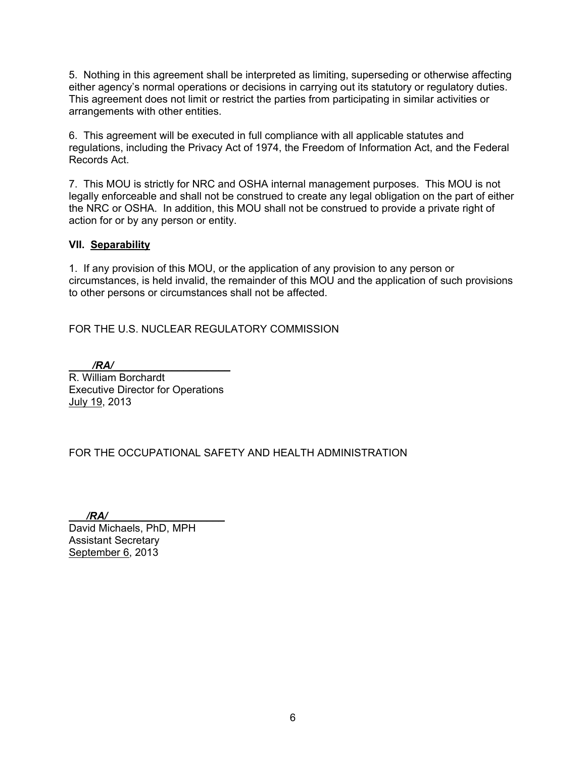5. Nothing in this agreement shall be interpreted as limiting, superseding or otherwise affecting either agency's normal operations or decisions in carrying out its statutory or regulatory duties. This agreement does not limit or restrict the parties from participating in similar activities or arrangements with other entities.

6. This agreement will be executed in full compliance with all applicable statutes and regulations, including the Privacy Act of 1974, the Freedom of Information Act, and the Federal Records Act.

7. This MOU is strictly for NRC and OSHA internal management purposes. This MOU is not legally enforceable and shall not be construed to create any legal obligation on the part of either the NRC or OSHA. In addition, this MOU shall not be construed to provide a private right of action for or by any person or entity.

### **VII. Separability**

1. If any provision of this MOU, or the application of any provision to any person or circumstances, is held invalid, the remainder of this MOU and the application of such provisions to other persons or circumstances shall not be affected.

FOR THE U.S. NUCLEAR REGULATORY COMMISSION

 */RA/*\_\_\_\_\_\_\_\_\_\_\_\_\_\_\_\_\_\_\_\_ R. William Borchardt Executive Director for Operations July 19, 2013

FOR THE OCCUPATIONAL SAFETY AND HEALTH ADMINISTRATION

 */RA/*\_\_\_\_\_\_\_\_\_\_\_\_\_\_\_\_\_\_\_\_

David Michaels, PhD, MPH Assistant Secretary September 6, 2013